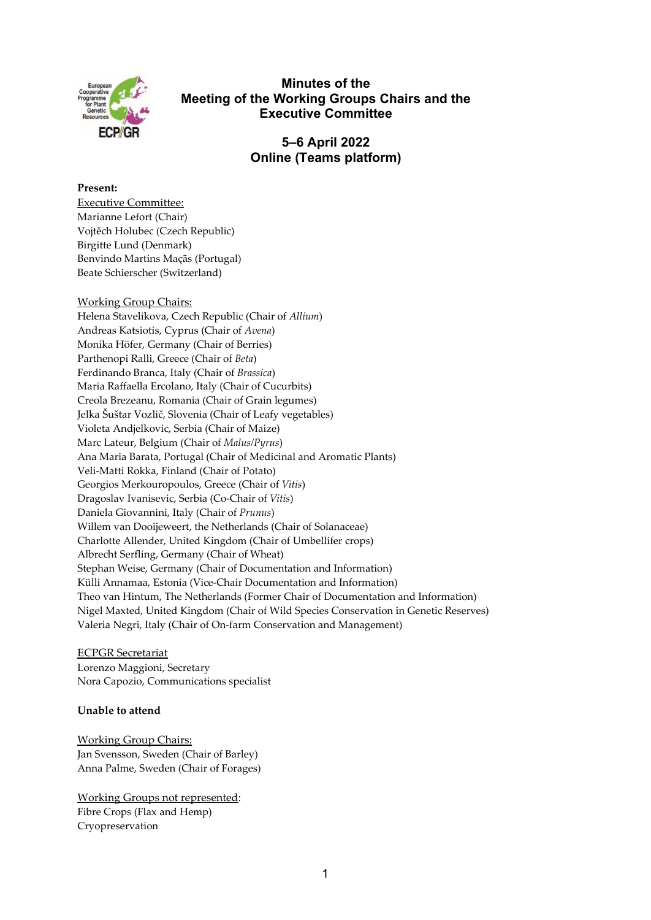

# **Minutes of the Meeting of the Working Groups Chairs and the Executive Committee**

**5–6 April 2022 Online (Teams platform)** 

### **Present:**

Executive Committee: Marianne Lefort (Chair) Vojtěch Holubec (Czech Republic) Birgitte Lund (Denmark) Benvindo Martins Maçãs (Portugal) Beate Schierscher (Switzerland)

## Working Group Chairs:

Helena Stavelikova, Czech Republic (Chair of *Allium*) Andreas Katsiotis, Cyprus (Chair of *Avena*) Monika Höfer, Germany (Chair of Berries) Parthenopi Ralli, Greece (Chair of *Beta*) Ferdinando Branca, Italy (Chair of *Brassica*) Maria Raffaella Ercolano, Italy (Chair of Cucurbits) Creola Brezeanu, Romania (Chair of Grain legumes) Jelka Šuštar Vozlič, Slovenia (Chair of Leafy vegetables) Violeta Andjelkovic, Serbia (Chair of Maize) Marc Lateur, Belgium (Chair of *Malus/Pyrus*) Ana Maria Barata, Portugal (Chair of Medicinal and Aromatic Plants) Veli-Matti Rokka, Finland (Chair of Potato) Georgios Merkouropoulos, Greece (Chair of *Vitis*) Dragoslav Ivanisevic, Serbia (Co-Chair of *Vitis*) Daniela Giovannini, Italy (Chair of *Prunus*) Willem van Dooijeweert, the Netherlands (Chair of Solanaceae) Charlotte Allender, United Kingdom (Chair of Umbellifer crops) Albrecht Serfling, Germany (Chair of Wheat) Stephan Weise, Germany (Chair of Documentation and Information) Külli Annamaa, Estonia (Vice-Chair Documentation and Information) Theo van Hintum, The Netherlands (Former Chair of Documentation and Information) Nigel Maxted, United Kingdom (Chair of Wild Species Conservation in Genetic Reserves) Valeria Negri, Italy (Chair of On-farm Conservation and Management)

### ECPGR Secretariat

Lorenzo Maggioni, Secretary Nora Capozio, Communications specialist

## **Unable to attend**

Working Group Chairs: Jan Svensson, Sweden (Chair of Barley) Anna Palme, Sweden (Chair of Forages)

Working Groups not represented: Fibre Crops (Flax and Hemp) Cryopreservation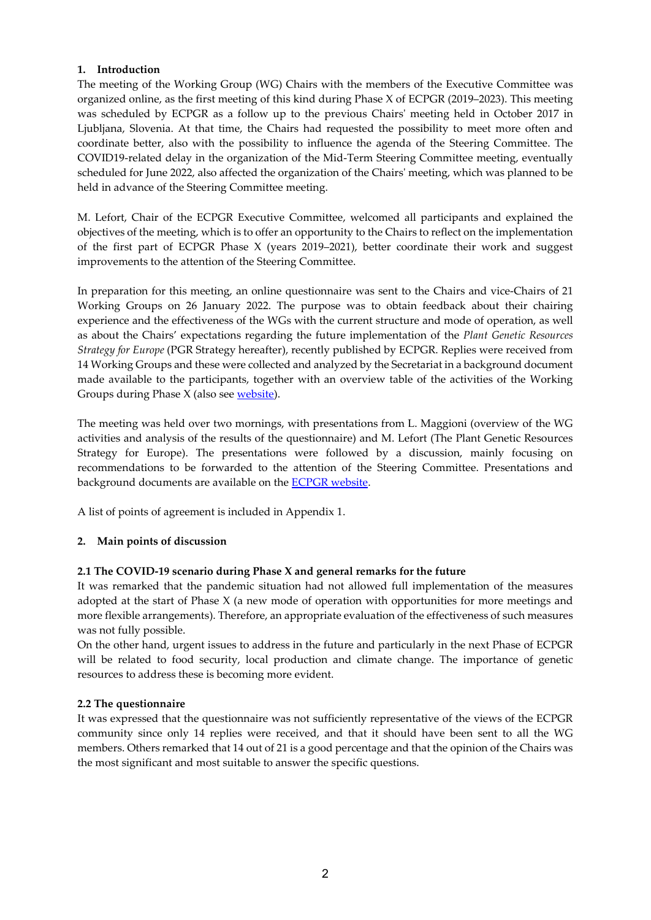## **1. Introduction**

The meeting of the Working Group (WG) Chairs with the members of the Executive Committee was organized online, as the first meeting of this kind during Phase X of ECPGR (2019–2023). This meeting was scheduled by ECPGR as a follow up to the previous Chairs' meeting held in October 2017 in Ljubljana, Slovenia. At that time, the Chairs had requested the possibility to meet more often and coordinate better, also with the possibility to influence the agenda of the Steering Committee. The COVID19-related delay in the organization of the Mid-Term Steering Committee meeting, eventually scheduled for June 2022, also affected the organization of the Chairs' meeting, which was planned to be held in advance of the Steering Committee meeting.

M. Lefort, Chair of the ECPGR Executive Committee, welcomed all participants and explained the objectives of the meeting, which is to offer an opportunity to the Chairs to reflect on the implementation of the first part of ECPGR Phase X (years 2019–2021), better coordinate their work and suggest improvements to the attention of the Steering Committee.

In preparation for this meeting, an online questionnaire was sent to the Chairs and vice-Chairs of 21 Working Groups on 26 January 2022. The purpose was to obtain feedback about their chairing experience and the effectiveness of the WGs with the current structure and mode of operation, as well as about the Chairs' expectations regarding the future implementation of the *[Plant Genetic Resources](https://www.ecpgr.cgiar.org/resources/ecpgr-publications/publication/plant-genetic-resources-strategy-for-europe-2021) [Strategy](https://www.ecpgr.cgiar.org/resources/ecpgr-publications/publication/plant-genetic-resources-strategy-for-europe-2021) for Europe* (PGR Strategy hereafter), recently published by ECPGR. Replies were received from 14 Working Groups and these were collected and analyzed by the Secretariat in a background document made available to the participants, together with an overview table of the activities of the Working Groups during Phase X (also see [website\)](https://www.ecpgr.cgiar.org/working-groups/common-working-group-activities/meeting-of-the-working-groups-chairs-and-the-executive-committee-5-6-april-2022-virtual).

The meeting was held over two mornings, with presentations from L. Maggioni (overview of the WG activities and analysis of the results of the questionnaire) and M. Lefort (The Plant Genetic Resources Strategy for Europe). The presentations were followed by a discussion, mainly focusing on recommendations to be forwarded to the attention of the Steering Committee. Presentations and background documents are available on the [ECPGR website.](https://www.ecpgr.cgiar.org/working-groups/common-working-group-activities/meeting-of-the-working-groups-chairs-and-the-executive-committee-5-6-april-2022-virtual)

A list of points of agreement is included in Appendix 1.

## **2. Main points of discussion**

### **2.1 The COVID-19 scenario during Phase X and general remarks for the future**

It was remarked that the pandemic situation had not allowed full implementation of the measures adopted at the start of Phase  $X$  (a new mode of operation with opportunities for more meetings and more flexible arrangements). Therefore, an appropriate evaluation of the effectiveness of such measures was not fully possible.

On the other hand, urgent issues to address in the future and particularly in the next Phase of ECPGR will be related to food security, local production and climate change. The importance of genetic resources to address these is becoming more evident.

### **2.2 The questionnaire**

It was expressed that the questionnaire was not sufficiently representative of the views of the ECPGR community since only 14 replies were received, and that it should have been sent to all the WG members. Others remarked that 14 out of 21 is a good percentage and that the opinion of the Chairs was the most significant and most suitable to answer the specific questions.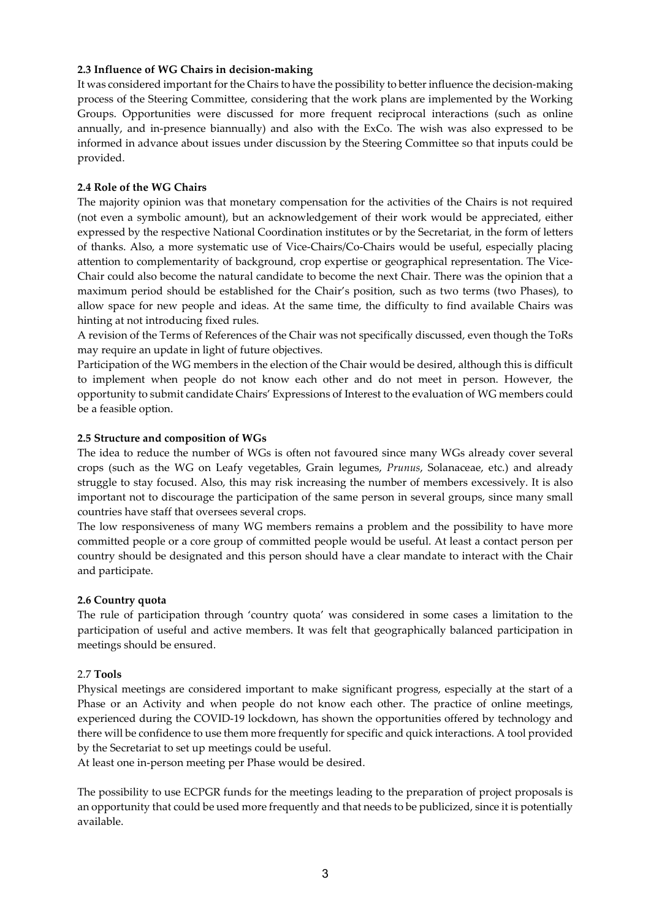### **2.3 Influence of WG Chairs in decision-making**

It was considered important for the Chairs to have the possibility to better influence the decision-making process of the Steering Committee, considering that the work plans are implemented by the Working Groups. Opportunities were discussed for more frequent reciprocal interactions (such as online annually, and in-presence biannually) and also with the ExCo. The wish was also expressed to be informed in advance about issues under discussion by the Steering Committee so that inputs could be provided.

### **2.4 Role of the WG Chairs**

The majority opinion was that monetary compensation for the activities of the Chairs is not required (not even a symbolic amount), but an acknowledgement of their work would be appreciated, either expressed by the respective National Coordination institutes or by the Secretariat, in the form of letters of thanks. Also, a more systematic use of Vice-Chairs/Co-Chairs would be useful, especially placing attention to complementarity of background, crop expertise or geographical representation. The Vice-Chair could also become the natural candidate to become the next Chair. There was the opinion that a maximum period should be established for the Chair's position, such as two terms (two Phases), to allow space for new people and ideas. At the same time, the difficulty to find available Chairs was hinting at not introducing fixed rules.

A revision of the Terms of References of the Chair was not specifically discussed, even though the ToRs may require an update in light of future objectives.

Participation of the WG members in the election of the Chair would be desired, although this is difficult to implement when people do not know each other and do not meet in person. However, the opportunity to submit candidate Chairs' Expressions of Interest to the evaluation of WG members could be a feasible option.

#### **2.5 Structure and composition of WGs**

The idea to reduce the number of WGs is often not favoured since many WGs already cover several crops (such as the WG on Leafy vegetables, Grain legumes, *Prunus*, Solanaceae, etc.) and already struggle to stay focused. Also, this may risk increasing the number of members excessively. It is also important not to discourage the participation of the same person in several groups, since many small countries have staff that oversees several crops.

The low responsiveness of many WG members remains a problem and the possibility to have more committed people or a core group of committed people would be useful. At least a contact person per country should be designated and this person should have a clear mandate to interact with the Chair and participate.

#### **2.6 Country quota**

The rule of participation through 'country quota' was considered in some cases a limitation to the participation of useful and active members. It was felt that geographically balanced participation in meetings should be ensured.

### 2.7 **Tools**

Physical meetings are considered important to make significant progress, especially at the start of a Phase or an Activity and when people do not know each other. The practice of online meetings, experienced during the COVID-19 lockdown, has shown the opportunities offered by technology and there will be confidence to use them more frequently for specific and quick interactions. A tool provided by the Secretariat to set up meetings could be useful.

At least one in-person meeting per Phase would be desired.

The possibility to use ECPGR funds for the meetings leading to the preparation of project proposals is an opportunity that could be used more frequently and that needs to be publicized, since it is potentially available.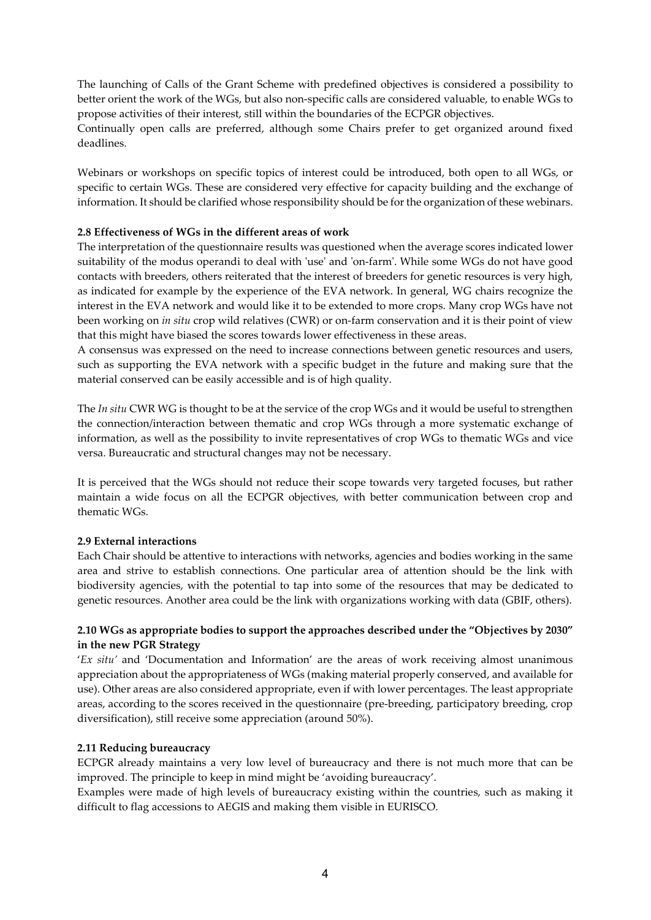The launching of Calls of the Grant Scheme with predefined objectives is considered a possibility to better orient the work of the WGs, but also non-specific calls are considered valuable, to enable WGs to propose activities of their interest, still within the boundaries of the ECPGR objectives.

Continually open calls are preferred, although some Chairs prefer to get organized around fixed deadlines.

Webinars or workshops on specific topics of interest could be introduced, both open to all WGs, or specific to certain WGs. These are considered very effective for capacity building and the exchange of information. It should be clarified whose responsibility should be for the organization of these webinars.

## **2.8 Effectiveness of WGs in the different areas of work**

The interpretation of the questionnaire results was questioned when the average scores indicated lower suitability of the modus operandi to deal with 'use' and 'on-farm'. While some WGs do not have good contacts with breeders, others reiterated that the interest of breeders for genetic resources is very high, as indicated for example by the experience of the EVA network. In general, WG chairs recognize the interest in the EVA network and would like it to be extended to more crops. Many crop WGs have not been working on *in situ* crop wild relatives (CWR) or on-farm conservation and it is their point of view that this might have biased the scores towards lower effectiveness in these areas.

A consensus was expressed on the need to increase connections between genetic resources and users, such as supporting the EVA network with a specific budget in the future and making sure that the material conserved can be easily accessible and is of high quality.

The *In situ* CWR WG is thought to be at the service of the crop WGs and it would be useful to strengthen the connection/interaction between thematic and crop WGs through a more systematic exchange of information, as well as the possibility to invite representatives of crop WGs to thematic WGs and vice versa. Bureaucratic and structural changes may not be necessary.

It is perceived that the WGs should not reduce their scope towards very targeted focuses, but rather maintain a wide focus on all the ECPGR objectives, with better communication between crop and thematic WGs.

### **2.9 External interactions**

Each Chair should be attentive to interactions with networks, agencies and bodies working in the same area and strive to establish connections. One particular area of attention should be the link with biodiversity agencies, with the potential to tap into some of the resources that may be dedicated to genetic resources. Another area could be the link with organizations working with data (GBIF, others).

## **2.10 WGs as appropriate bodies to support the approaches described under the "Objectives by 2030" in the new PGR Strategy**

'*Ex situ'* and 'Documentation and Information' are the areas of work receiving almost unanimous appreciation about the appropriateness of WGs (making material properly conserved, and available for use). Other areas are also considered appropriate, even if with lower percentages. The least appropriate areas, according to the scores received in the questionnaire (pre-breeding, participatory breeding, crop diversification), still receive some appreciation (around 50%).

### **2.11 Reducing bureaucracy**

ECPGR already maintains a very low level of bureaucracy and there is not much more that can be improved. The principle to keep in mind might be 'avoiding bureaucracy'.

Examples were made of high levels of bureaucracy existing within the countries, such as making it difficult to flag accessions to AEGIS and making them visible in EURISCO.